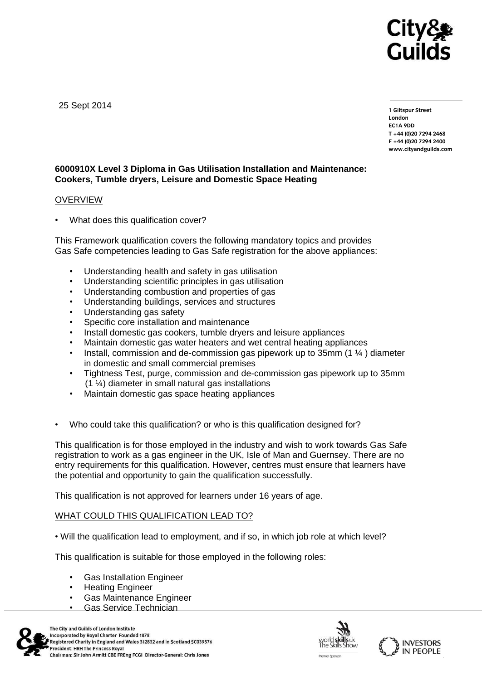

25 Sept 2014

**1 Giltspur Street EC1A 9DD**  $T + 44 (0)20 7294 2468$ **T +44 (0)20 7294 246[8](http://www.cityandguilds.com/) F +44 (0)20 7294 2400 [www.cityandguilds.com](http://www.cityandguilds.com/)**

## **6000910X Level 3 Diploma in Gas Utilisation Installation and Maintenance: Cookers, Tumble dryers, Leisure and Domestic Space Heating**

### **OVERVIEW**

What does this qualification cover?

This Framework qualification covers the following mandatory topics and provides Gas Safe competencies leading to Gas Safe registration for the above appliances:

- Understanding health and safety in gas utilisation
- Understanding scientific principles in gas utilisation
- Understanding combustion and properties of gas
- Understanding buildings, services and structures
- Understanding gas safety
- Specific core installation and maintenance
- Install domestic gas cookers, tumble dryers and leisure appliances
- Maintain domestic gas water heaters and wet central heating appliances
- Install, commission and de-commission gas pipework up to 35mm (1 ¼ ) diameter in domestic and small commercial premises
- Tightness Test, purge, commission and de-commission gas pipework up to 35mm (1 ¼) diameter in small natural gas installations
- Maintain domestic gas space heating appliances
- Who could take this qualification? or who is this qualification designed for?

This qualification is for those employed in the industry and wish to work towards Gas Safe registration to work as a gas engineer in the UK, Isle of Man and Guernsey. There are no entry requirements for this qualification. However, centres must ensure that learners have the potential and opportunity to gain the qualification successfully.

This qualification is not approved for learners under 16 years of age.

## WHAT COULD THIS QUALIFICATION LEAD TO?

• Will the qualification lead to employment, and if so, in which job role at which level?

This qualification is suitable for those employed in the following roles:

- Gas Installation Engineer
- Heating Engineer
- Gas Maintenance Engineer
- Gas Service Technician